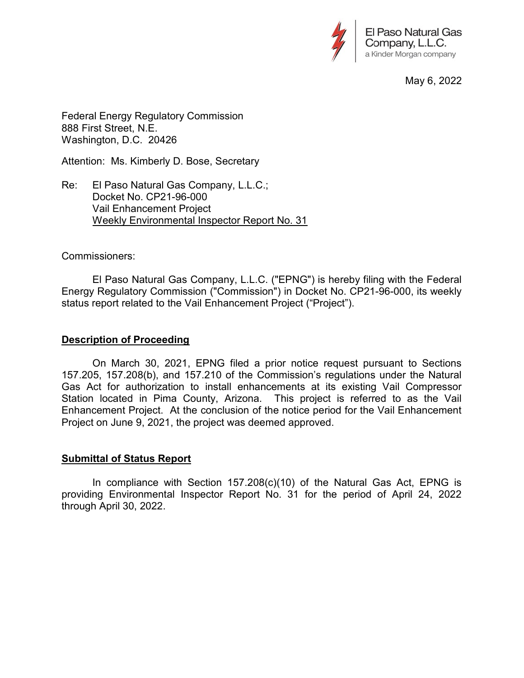

May 6, 2022

Federal Energy Regulatory Commission 888 First Street, N.E. Washington, D.C. 20426

Attention: Ms. Kimberly D. Bose, Secretary

Re: El Paso Natural Gas Company, L.L.C.; Docket No. CP21-96-000 Vail Enhancement Project Weekly Environmental Inspector Report No. 31

## Commissioners:

 El Paso Natural Gas Company, L.L.C. ("EPNG") is hereby filing with the Federal Energy Regulatory Commission ("Commission") in Docket No. CP21-96-000, its weekly status report related to the Vail Enhancement Project ("Project").

## Description of Proceeding

 On March 30, 2021, EPNG filed a prior notice request pursuant to Sections 157.205, 157.208(b), and 157.210 of the Commission's regulations under the Natural Gas Act for authorization to install enhancements at its existing Vail Compressor Station located in Pima County, Arizona. This project is referred to as the Vail Enhancement Project. At the conclusion of the notice period for the Vail Enhancement Project on June 9, 2021, the project was deemed approved.

## Submittal of Status Report

 In compliance with Section 157.208(c)(10) of the Natural Gas Act, EPNG is providing Environmental Inspector Report No. 31 for the period of April 24, 2022 through April 30, 2022.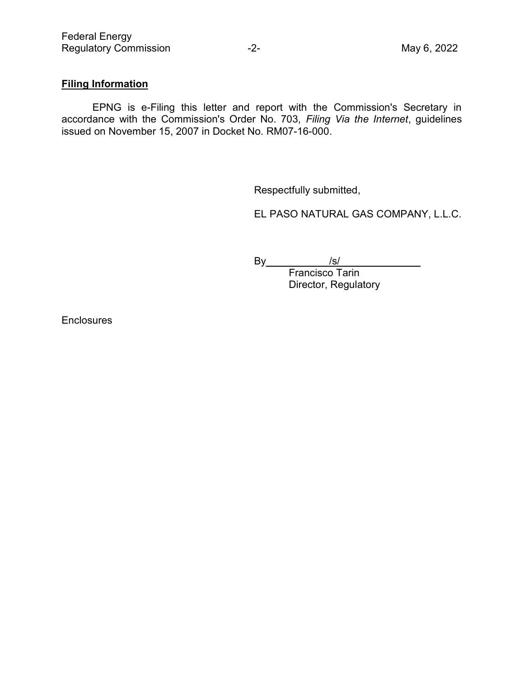## Filing Information

 EPNG is e-Filing this letter and report with the Commission's Secretary in accordance with the Commission's Order No. 703, Filing Via the Internet, guidelines issued on November 15, 2007 in Docket No. RM07-16-000.

Respectfully submitted,

EL PASO NATURAL GAS COMPANY, L.L.C.

By\_\_\_\_\_\_\_\_\_\_\_/s/\_\_\_\_\_\_\_\_\_\_\_\_\_\_

Francisco Tarin Director, Regulatory

**Enclosures**